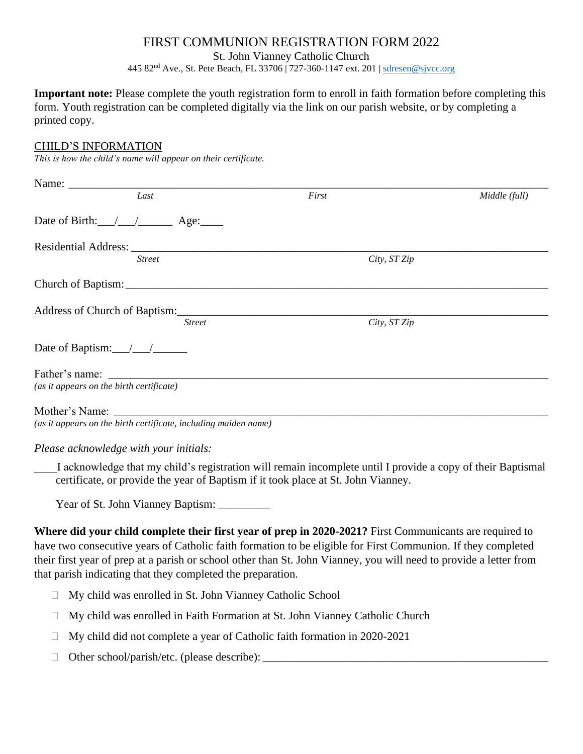## FIRST COMMUNION REGISTRATION FORM 2022

St. John Vianney Catholic Church

445 82nd Ave., St. Pete Beach, FL 33706 | 727-360-1147 ext. 201 | [sdresen@sjvcc.org](mailto:faithformation@sjvcc.org)

**Important note:** Please complete the youth registration form to enroll in faith formation before completing this form. Youth registration can be completed digitally via the link on our parish website, or by completing a printed copy.

## CHILD'S INFORMATION

*This is how the child's name will appear on their certificate.*

| Last                                                                                                                                                                                                                              |               | First        | Middle (full) |
|-----------------------------------------------------------------------------------------------------------------------------------------------------------------------------------------------------------------------------------|---------------|--------------|---------------|
| Date of Birth: $\angle$ $\angle$ $\angle$ Age:                                                                                                                                                                                    |               |              |               |
| Residential Address: Lawrence and Contact the Contact of the Contact of the Contact of the Contact of the Contact of the Contact of the Contact of the Contact of the Contact of the Contact of the Contact of the Contact of     |               |              |               |
| <b>Street</b>                                                                                                                                                                                                                     |               | City, ST Zip |               |
|                                                                                                                                                                                                                                   |               |              |               |
| Address of Church of Baptism: 2008 and 2008 and 2008 and 2008 and 2008 and 2008 and 2008 and 2008 and 2008 and 2008 and 2008 and 2008 and 2008 and 2008 and 2008 and 2008 and 2008 and 2008 and 2008 and 2008 and 2008 and 200    |               |              |               |
|                                                                                                                                                                                                                                   | <b>Street</b> | City, ST Zip |               |
|                                                                                                                                                                                                                                   |               |              |               |
|                                                                                                                                                                                                                                   |               |              |               |
| (as it appears on the birth certificate)                                                                                                                                                                                          |               |              |               |
|                                                                                                                                                                                                                                   |               |              |               |
| $\mathcal{L}$ and the contract of the contract of the contract of the contract of the contract of the contract of the contract of the contract of the contract of the contract of the contract of the contract of the contract of |               |              |               |

*(as it appears on the birth certificate, including maiden name)*

*Please acknowledge with your initials:*

\_\_\_\_I acknowledge that my child's registration will remain incomplete until I provide a copy of their Baptismal certificate, or provide the year of Baptism if it took place at St. John Vianney.

Year of St. John Vianney Baptism:

**Where did your child complete their first year of prep in 2020-2021?** First Communicants are required to have two consecutive years of Catholic faith formation to be eligible for First Communion. If they completed their first year of prep at a parish or school other than St. John Vianney, you will need to provide a letter from that parish indicating that they completed the preparation.

- My child was enrolled in St. John Vianney Catholic School
- My child was enrolled in Faith Formation at St. John Vianney Catholic Church
- □ My child did not complete a year of Catholic faith formation in 2020-2021
- Other school/parish/etc. (please describe): \_\_\_\_\_\_\_\_\_\_\_\_\_\_\_\_\_\_\_\_\_\_\_\_\_\_\_\_\_\_\_\_\_\_\_\_\_\_\_\_\_\_\_\_\_\_\_\_\_\_